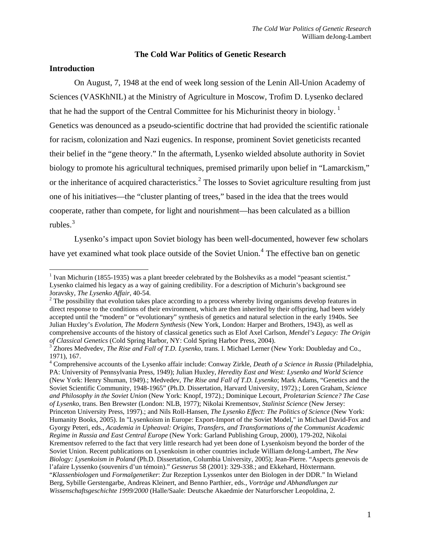#### **The Cold War Politics of Genetic Research**

## **Introduction**

 $\overline{a}$ 

On August, 7, 1948 at the end of week long session of the Lenin All-Union Academy of Sciences (VASKhNIL) at the Ministry of Agriculture in Moscow, Trofim D. Lysenko declared that he had the support of the Central Committee for his Michurinist theory in biology.<sup>[1](#page-0-0)</sup> Genetics was denounced as a pseudo-scientific doctrine that had provided the scientific rationale for racism, colonization and Nazi eugenics. In response, prominent Soviet geneticists recanted their belief in the "gene theory." In the aftermath, Lysenko wielded absolute authority in So viet biology to promote his agricultural techniques, premised primarily upon belief in "Lamarckism," or the inheritance of acquired characteristics.<sup>[2](#page-0-1)</sup> The losses to Soviet agriculture resulting from just one of his initiatives—the "cluster planting of trees," based in the idea that the trees would cooperate, rather than compete, for light and nourishment—has been calculated as a billion rubles. $3$ 

Lysenko's impact upon Soviet biology has been well-documented, however few scholars have yet examined what took place outside of the Soviet Union.<sup>[4](#page-0-3)</sup> The effective ban on genetic

<span id="page-0-0"></span><sup>&</sup>lt;sup>1</sup> Ivan Michurin (1855-1935) was a plant breeder celebrated by the Bolsheviks as a model "peasant scientist." Lysenko claimed his legacy as a way of gaining credibility. For a description of Michurin's background see Joravsky, *The Lysenko Affair*, 40-54. 2

<span id="page-0-1"></span><sup>&</sup>lt;sup>2</sup> The possibility that evolution takes place according to a process whereby living organisms develop features in direct response to the conditions of their environment, which are then inherited by their offspring, had been widely accepted until the "modern" or "evolutionary" synthesis of genetics and natural selection in the early 1940s. See Julian Huxley's *Evolution, The Modern Synthesis* (New York, London: Harper and Brothers, 1943), as well as comprehensive accounts of the history of classical genetics such as Elof Axel Carlson, *Mendel's Legacy: The Origin of Classical Genetics* (Cold Spring Harbor, NY: Cold Spring Harbor Press, 2004). 3

<span id="page-0-2"></span>Zhores Medvedev, *The Rise and Fall of T.D. Lysenko*, trans. I. Michael Lerner (New York: Doubleday and Co., 1971), 167.

<span id="page-0-3"></span><sup>4</sup> Comprehensive accounts of the Lysenko affair include: Conway Zirkle, *Death of a Science in Russia* (Philadelphia, PA: University of Pennsylvania Press, 1949); Julian Huxley, *Heredity East and West: Lysenko and World Science* (New York: Henry Shuman, 1949).; Medvedev, *The Rise and Fall of T.D. Lysenko*; Mark Adams, "Genetics and the Soviet Scientific Community, 1948-1965" (Ph.D. Dissertation, Harvard University, 1972).; Loren Graham, *Science and Philosophy in the Soviet Union* (New York: Knopf, 1972).; Dominique Lecourt, *Proletarian Science? The Case of Lysenko,* trans. Ben Brewster (London: NLB, 1977); Nikolai Krementsov, *Stalinist Science* (New Jersey: Princeton University Press, 1997).; and Nils Roll-Hansen, *The Lysenko Effect: The Politics of Science* (New York: Humanity Books, 2005). In "Lysenkoism in Europe: Export-Import of the Soviet Model," in Michael David-Fox and Gyorgy Peteri, eds., *Academia in Upheaval: Origins, Transfers, and Transformations of the Communist Academic Regime in Russia and East Central Europe* (New York: Garland Publishing Group, 2000), 179-202, Nikolai Krementsov referred to the fact that very little research had yet been done of Lysenkoism beyond the border of the Soviet Union. Recent publications on Lysenkoism in other countries include William deJong-Lambert, *The New Biology: Lysenkoism in Poland* (Ph.D. Dissertation, Columbia University, 2005); Jean-Pierre. "Aspects genevois de l'afaire Lyssenko (souvenirs d'un témoin)." *Gesnerus* 58 (2001): 329-338.; and Ekkehard, Höxtermann. "*Klassenbiologen* und *Formalgenetiker*: Zur Rezeption Lyssenkos unter den Biologen in der DDR." In Wieland Berg, Sybille Gerstengarbe, Andreas Kleinert, and Benno Parthier, eds., *Vorträge und Abhandlungen zur Wissenschaftsgeschichte 1999/2000* (Halle/Saale: Deutsche Akaedmie der Naturforscher Leopoldina, 2.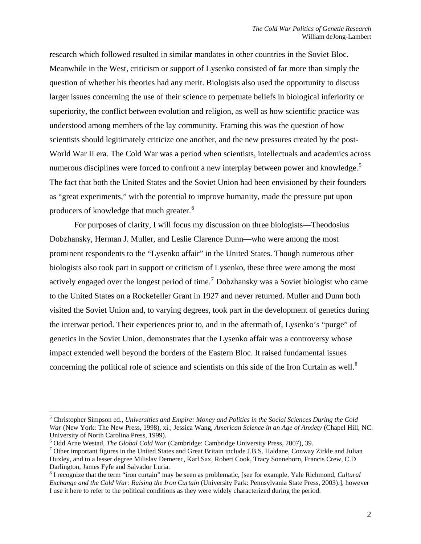research which followed resulted in similar mandates in other countries in the Soviet Bloc. Meanwhile in the West, criticism or support of Lysenko consisted of far more than simply the question of whether his theories had any merit. Biologists also used the opportunity to discuss larger issues concerning the use of their science to perpetuate beliefs in biological inferiority or superiority, the conflict between evolution and religion, as well as how scientific practice was understood among members of the lay community. Framing this was the question of how scientists should legitimately criticize one another, and the new pressures created by the post-World War II era. The Cold War was a period when scientists, intellectuals and academics across numerous disciplines were forced to confront a new interplay between power and knowledge.<sup>[5](#page-1-0)</sup> The fact that both the United States and the Soviet Union had been envisioned by their founders as "great experiments," with the potential to improve humanity, made the pressure put upon producers of knowledge that much greater.<sup>[6](#page-1-1)</sup>

 For purposes of clarity, I will focus my discussion on three biologists—Theodosius Dobzhansky, Herman J. Muller, and Leslie Clarence Dunn—who were among the most prominent respondents to the "Lysenko affair" in the United States. Though numerous other biologists also took part in support or criticism of Lysenko, these three were among the most actively engaged over the longest period of time.<sup>[7](#page-1-2)</sup> Dobzhansky was a Soviet biologist who came to the United States on a Rockefeller Grant in 1927 and never returned. Muller and Dunn both visited the Soviet Union and, to varying degrees, took part in the development of genetics during the interwar period. Their experiences prior to, and in the aftermath of, Lysenko's "purge" of genetics in the Soviet Union, demonstrates that the Lysenko affair was a controversy whose impact extended well beyond the borders of the Eastern Bloc. It raised fundamental issues concerning the political role of science and scientists on this side of the Iron Curtain as well.<sup>[8](#page-1-3)</sup>

<span id="page-1-0"></span><sup>5</sup> Christopher Simpson ed., *Universities and Empire: Money and Politics in the Social Sciences During the Cold War* (New York: The New Press, 1998), xi.; Jessica Wang, *American Science in an Age of Anxiety* (Chapel Hill, NC: University of North Carolina Press, 1999).

<span id="page-1-1"></span> $^6$  Odd Arne Westad, *The Global Cold War* (Cambridge: Cambridge University Press, 2007), 39.

<span id="page-1-2"></span> $\frac{7}{1}$  Other important figures in the United States and Great Britain include J.B.S. Haldane, Conway Zirkle and Julian Huxley, and to a lesser degree Milislav Demerec, Karl Sax, Robert Cook, Tracy Sonneborn, Francis Crew, C.D Darlington, James Fyfe and Salvador Luria.

<span id="page-1-3"></span><sup>8</sup> I recognize that the term "iron curtain" may be seen as problematic, [see for example, Yale Richmond, *Cultural Exchange and the Cold War: Raising the Iron Curtain* (University Park: Pennsylvania State Press, 2003).], however I use it here to refer to the political conditions as they were widely characterized during the period.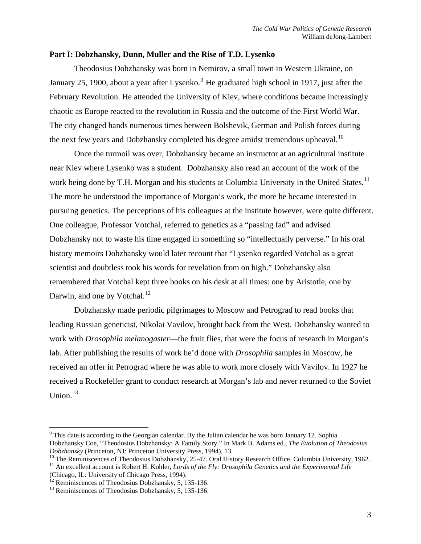### **Part I: Dobzhansky, Dunn, Muller and the Rise of T.D. Lysenko**

Theodosius Dobzhansky was born in Nemirov, a small town in Western Ukraine, on January 25, 1[9](#page-2-0)00, about a year after Lysenko.<sup>9</sup> He graduated high school in 1917, just after the February Revolution. He attended the University of Kiev, where conditions became increasingly chaotic as Europe reacted to the revolution in Russia and the outcome of the First World War. The city changed hands numerous times between Bolshevik, German and Polish forces during the next few years and Dobzhansky completed his degree amidst tremendous upheaval.<sup>[10](#page-2-1)</sup>

Once the turmoil was over, Dobzhansky became an instructor at an agricultural institute near Kiev where Lysenko was a student. Dobzhansky also read an account of the work of the work being done by T.H. Morgan and his students at Columbia University in the United States.<sup>[11](#page-2-2)</sup> The more he understood the importance of Morgan's work, the more he became interested in pursuing genetics. The perceptions of his colleagues at the institute however, were quite different. One colleague, Professor Votchal, referred to genetics as a "passing fad" and advised Dobzhansky not to waste his time engaged in something so "intellectually perverse." In his oral history memoirs Dobzhansky would later recount that "Lysenko regarded Votchal as a great scientist and doubtless took his words for revelation from on high." Dobzhansky also remembered that Votchal kept three books on his desk at all times: one by Aristotle, one by Darwin, and one by Votchal.<sup>[12](#page-2-3)</sup>

Dobzhansky made periodic pilgrimages to Moscow and Petrograd to read books that leading Russian geneticist, Nikolai Vavilov, brought back from the West. Dobzhansky wanted to work with *Drosophila melanogaster*—the fruit flies, that were the focus of research in Morgan's lab. After publishing the results of work he'd done with *Drosophila* samples in Moscow, he received an offer in Petrograd where he was able to work more closely with Vavilov. In 1927 he received a Rockefeller grant to conduct research at Morgan's lab and never returned to the Soviet Union. $13$ 

<span id="page-2-0"></span><sup>&</sup>lt;sup>9</sup> This date is according to the Georgian calendar. By the Julian calendar he was born January 12. Sophia Dobzhansky Coe, "Theodosius Dobzhansky: A Family Story." In Mark B. Adams ed., *The Evolution of Theodosius* 

<span id="page-2-2"></span><span id="page-2-1"></span><sup>&</sup>lt;sup>10</sup> The Reminiscences of Theodosius Dobzhansky, 25-47. Oral History Research Office. Columbia University, 1962.<br><sup>11</sup> An excellent account is Robert H. Kohler, *Lords of the Fly: Drosophila Genetics and the Experimental L* 

<span id="page-2-3"></span> $\overline{C}$ <sup>12</sup> Reminiscences of Theodosius Dobzhansky, 5, 135-136.

<span id="page-2-4"></span><sup>&</sup>lt;sup>13</sup> Reminiscences of Theodosius Dobzhansky, 5, 135-136.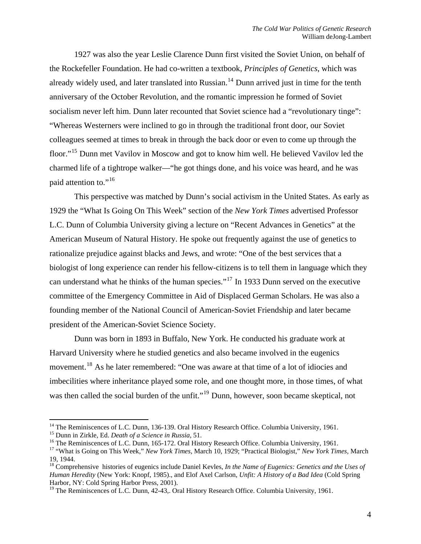1927 was also the year Leslie Clarence Dunn first visited the Soviet Union, on behalf of the Rockefeller Foundation. He had co-written a textbook, *Principles of Genetics*, which was already widely used, and later translated into Russian.<sup>[14](#page-3-0)</sup> Dunn arrived just in time for the tenth anniversary of the October Revolution, and the romantic impression he formed of Soviet socialism never left him. Dunn later recounted that Soviet science had a "revolutionary tinge": "Whereas Westerners were inclined to go in through the traditional front door, our Soviet colleagues seemed at times to break in through the back door or even to come up through the floor."[15](#page-3-1) Dunn met Vavilov in Moscow and got to know him well. He believed Vavilov led the charmed life of a tightrope walker—"he got things done, and his voice was heard, and he was paid attention to."<sup>[16](#page-3-2)</sup>

This perspective was matched by Dunn's social activism in the United States. As early as 1929 the "What Is Going On This Week" section of the *New York Times* advertised Professor L.C. Dunn of Columbia University giving a lecture on "Recent Advances in Genetics" at the American Museum of Natural History. He spoke out frequently against the use of genetics to rationalize prejudice against blacks and Jews, and wrote: "One of the best services that a biologist of long experience can render his fellow-citizens is to tell them in language which they can understand what he thinks of the human species."[17](#page-3-3) In 1933 Dunn served on the executive committee of the Emergency Committee in Aid of Displaced German Scholars. He was also a founding member of the National Council of American-Soviet Friendship and later became president of the American-Soviet Science Society.

 Dunn was born in 1893 in Buffalo, New York. He conducted his graduate work at Harvard University where he studied genetics and also became involved in the eugenics movement.<sup>[18](#page-3-4)</sup> As he later remembered: "One was aware at that time of a lot of idiocies and imbecilities where inheritance played some role, and one thought more, in those times, of what was then called the social burden of the unfit."<sup>[19](#page-3-5)</sup> Dunn, however, soon became skeptical, not

<span id="page-3-0"></span><sup>&</sup>lt;sup>14</sup> The Reminiscences of L.C. Dunn, 136-139. Oral History Research Office. Columbia University, 1961.

<span id="page-3-3"></span><span id="page-3-2"></span>

<span id="page-3-1"></span><sup>&</sup>lt;sup>15</sup> Dunn in Zirkle, Ed. *Death of a Science in Russia*, 51.<br><sup>16</sup> The Reminiscences of L.C. Dunn, 165-172. Oral History Research Office. Columbia University, 1961.<br><sup>17</sup> "What is Going on This Week," *New York Times*, Marc 19, 1944.

<span id="page-3-4"></span><sup>18</sup> Comprehensive histories of eugenics include Daniel Kevles, *In the Name of Eugenics: Genetics and the Uses of Human Heredity* (New York: Knopf, 1985)., and Elof Axel Carlson, *Unfit: A History of a Bad Idea* (Cold Spring Harbor, NY: Cold Spring Harbor Press, 2001).

<span id="page-3-5"></span><sup>&</sup>lt;sup>19</sup> The Reminiscences of L.C. Dunn, 42-43,. Oral History Research Office. Columbia University, 1961.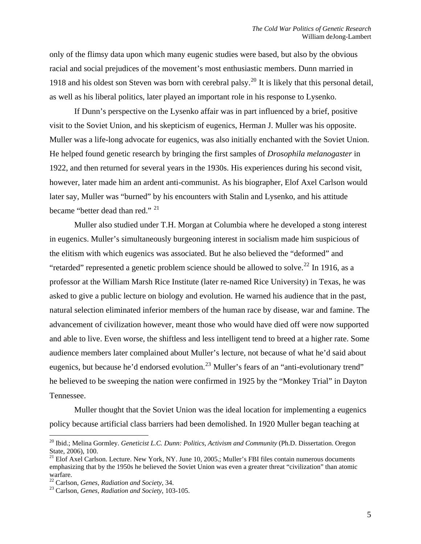only of the flimsy data upon which many eugenic studies were based, but also by the obvious racial and social prejudices of the movement's most enthusiastic members. Dunn married in 1918 and his oldest son Steven was born with cerebral palsy.<sup>[20](#page-4-0)</sup> It is likely that this personal detail, as well as his liberal politics, later played an important role in his response to Lysenko.

 If Dunn's perspective on the Lysenko affair was in part influenced by a brief, positive visit to the Soviet Union, and his skepticism of eugenics, Herman J. Muller was his opposite. Muller was a life-long advocate for eugenics, was also initially enchanted with the Soviet Union. He helped found genetic research by bringing the first samples of *Drosophila melanogaster* in 1922, and then returned for several years in the 1930s. His experiences during his second visit, however, later made him an ardent anti-communist. As his biographer, Elof Axel Carlson would later say, Muller was "burned" by his encounters with Stalin and Lysenko, and his attitude became "better dead than red." [21](#page-4-1)

Muller also studied under T.H. Morgan at Columbia where he developed a stong interest in eugenics. Muller's simultaneously burgeoning interest in socialism made him suspicious of the elitism with which eugenics was associated. But he also believed the "deformed" and "retarded" represented a genetic problem science should be allowed to solve.<sup>[22](#page-4-2)</sup> In 1916, as a professor at the William Marsh Rice Institute (later re-named Rice University) in Texas, he was asked to give a public lecture on biology and evolution. He warned his audience that in the past, natural selection eliminated inferior members of the human race by disease, war and famine. The advancement of civilization however, meant those who would have died off were now supported and able to live. Even worse, the shiftless and less intelligent tend to breed at a higher rate. Some audience members later complained about Muller's lecture, not because of what he'd said about eugenics, but because he'd endorsed evolution.<sup>[23](#page-4-3)</sup> Muller's fears of an "anti-evolutionary trend" he believed to be sweeping the nation were confirmed in 1925 by the "Monkey Trial" in Dayton Tennessee.

Muller thought that the Soviet Union was the ideal location for implementing a eugenics policy because artificial class barriers had been demolished. In 1920 Muller began teaching at

<span id="page-4-0"></span><sup>20</sup> Ibid.; Melina Gormley. *Geneticist L.C. Dunn: Politics, Activism and Community* (Ph.D. Dissertation. Oregon State, 2006), 100.

<span id="page-4-1"></span><sup>&</sup>lt;sup>21</sup> Elof Axel Carlson. Lecture. New York, NY. June 10, 2005.; Muller's FBI files contain numerous documents emphasizing that by the 1950s he believed the Soviet Union was even a greater threat "civilization" than atomic

<span id="page-4-2"></span>warfare.<br><sup>22</sup> Carlson, *Genes, Radiation and Society*, 34.

<span id="page-4-3"></span><sup>&</sup>lt;sup>23</sup> Carlson, *Genes, Radiation and Society*, 103-105.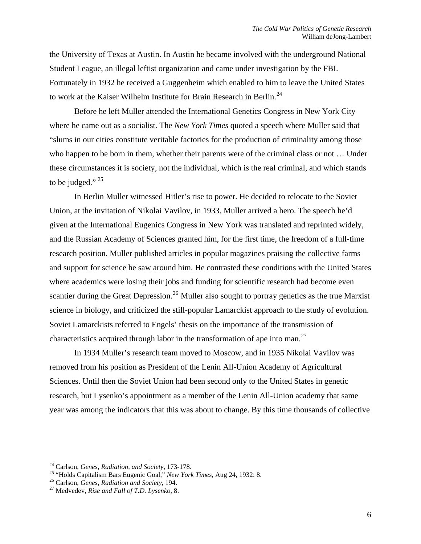the University of Texas at Austin. In Austin he became involved with the underground National Student League, an illegal leftist organization and came under investigation by the FBI. Fortunately in 1932 he received a Guggenheim which enabled to him to leave the United States to work at the Kaiser Wilhelm Institute for Brain Research in Berlin.<sup>[24](#page-5-0)</sup>

Before he left Muller attended the International Genetics Congress in New York City where he came out as a socialist. The *New York Times* quoted a speech where Muller said that "slums in our cities constitute veritable factories for the production of criminality among those who happen to be born in them, whether their parents were of the criminal class or not … Under these circumstances it is society, not the individual, which is the real criminal, and which stands to be judged."  $25$ 

In Berlin Muller witnessed Hitler's rise to power. He decided to relocate to the Soviet Union, at the invitation of Nikolai Vavilov, in 1933. Muller arrived a hero. The speech he'd given at the International Eugenics Congress in New York was translated and reprinted widely, and the Russian Academy of Sciences granted him, for the first time, the freedom of a full-time research position. Muller published articles in popular magazines praising the collective farms and support for science he saw around him. He contrasted these conditions with the United States where academics were losing their jobs and funding for scientific research had become even scantier during the Great Depression.<sup>[26](#page-5-2)</sup> Muller also sought to portray genetics as the true Marxist science in biology, and criticized the still-popular Lamarckist approach to the study of evolution. Soviet Lamarckists referred to Engels' thesis on the importance of the transmission of characteristics acquired through labor in the transformation of ape into man.[27](#page-5-3)

In 1934 Muller's research team moved to Moscow, and in 1935 Nikolai Vavilov was removed from his position as President of the Lenin All-Union Academy of Agricultural Sciences. Until then the Soviet Union had been second only to the United States in genetic research, but Lysenko's appointment as a member of the Lenin All-Union academy that same year was among the indicators that this was about to change. By this time thousands of collective

<span id="page-5-1"></span>

<span id="page-5-0"></span><sup>&</sup>lt;sup>24</sup> Carlson, *Genes, Radiation, and Society*, 173-178.<br><sup>25</sup> "Holds Capitalism Bars Eugenic Goal," *New York Times*, Aug 24, 1932: 8.<br><sup>26</sup> Carlson, *Genes, Radiation and Society*, 194.<br><sup>27</sup> Medvedev, *Rise and Fall of T.D* 

<span id="page-5-2"></span>

<span id="page-5-3"></span>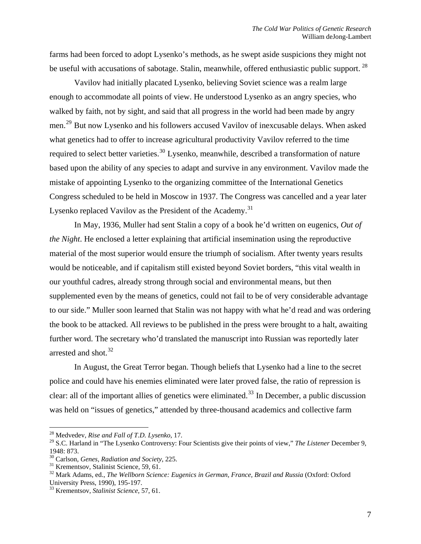farms had been forced to adopt Lysenko's methods, as he swept aside suspicions they might not be useful with accusations of sabotage. Stalin, meanwhile, offered enthusiastic public support.<sup>[28](#page-6-0)</sup>

Vavilov had initially placated Lysenko, believing Soviet science was a realm large enough to accommodate all points of view. He understood Lysenko as an angry species, who walked by faith, not by sight, and said that all progress in the world had been made by angry men.[29](#page-6-1) But now Lysenko and his followers accused Vavilov of inexcusable delays. When asked what genetics had to offer to increase agricultural productivity Vavilov referred to the time required to select better varieties.<sup>[30](#page-6-2)</sup> Lysenko, meanwhile, described a transformation of nature based upon the ability of any species to adapt and survive in any environment. Vavilov made the mistake of appointing Lysenko to the organizing committee of the International Genetics Congress scheduled to be held in Moscow in 1937. The Congress was cancelled and a year later Lysenko replaced Vavilov as the President of the Academy.<sup>[31](#page-6-3)</sup>

In May, 1936, Muller had sent Stalin a copy of a book he'd written on eugenics, *Out of the Night*. He enclosed a letter explaining that artificial insemination using the reproductive material of the most superior would ensure the triumph of socialism. After twenty years results would be noticeable, and if capitalism still existed beyond Soviet borders, "this vital wealth in our youthful cadres, already strong through social and environmental means, but then supplemented even by the means of genetics, could not fail to be of very considerable advantage to our side." Muller soon learned that Stalin was not happy with what he'd read and was ordering the book to be attacked. All reviews to be published in the press were brought to a halt, awaiting further word. The secretary who'd translated the manuscript into Russian was reportedly later arrested and shot. $32$ 

In August, the Great Terror began. Though beliefs that Lysenko had a line to the secret police and could have his enemies eliminated were later proved false, the ratio of repression is clear: all of the important allies of genetics were eliminated.<sup>[33](#page-6-5)</sup> In December, a public discussion was held on "issues of genetics," attended by three-thousand academics and collective farm

<sup>28</sup> Medvedev, *Rise and Fall of T.D. Lysenko*, 17.

<span id="page-6-1"></span><span id="page-6-0"></span><sup>29</sup> S.C. Harland in "The Lysenko Controversy: Four Scientists give their points of view," *The Listener* December 9, 1948: 873.

<span id="page-6-2"></span><sup>30</sup> Carlson, *Genes, Radiation and Society*, 225. 31 Krementsov, Stalinist Science, 59, 61.

<span id="page-6-3"></span>

<span id="page-6-4"></span><sup>32</sup> Mark Adams, ed., *The Wellborn Science: Eugenics in German, France, Brazil and Russia* (Oxford: Oxford University Press, 1990), 195-197.

<span id="page-6-5"></span><sup>33</sup> Krementsov, *Stalinist Science*, 57, 61.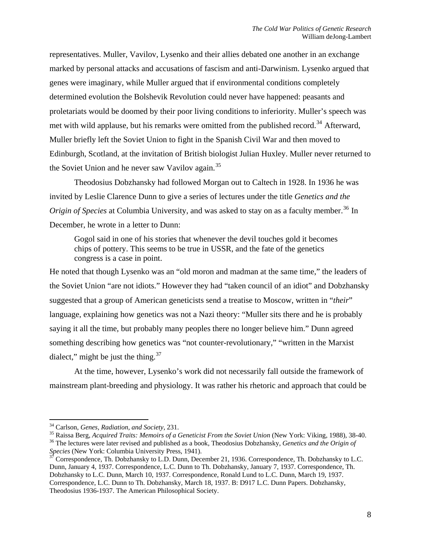representatives. Muller, Vavilov, Lysenko and their allies debated one another in an exchange marked by personal attacks and accusations of fascism and anti-Darwinism. Lysenko argued that genes were imaginary, while Muller argued that if environmental conditions completely determined evolution the Bolshevik Revolution could never have happened: peasants and proletariats would be doomed by their poor living conditions to inferiority. Muller's speech was met with wild applause, but his remarks were omitted from the published record.<sup>[34](#page-7-0)</sup> Afterward, Muller briefly left the Soviet Union to fight in the Spanish Civil War and then moved to Edinburgh, Scotland, at the invitation of British biologist Julian Huxley. Muller never returned to the Soviet Union and he never saw Vavilov again.<sup>[35](#page-7-1)</sup>

Theodosius Dobzhansky had followed Morgan out to Caltech in 1928. In 1936 he was invited by Leslie Clarence Dunn to give a series of lectures under the title *Genetics and the Origin of Species* at Columbia University, and was asked to stay on as a faculty member.<sup>[36](#page-7-2)</sup> In December, he wrote in a letter to Dunn:

Gogol said in one of his stories that whenever the devil touches gold it becomes chips of pottery. This seems to be true in USSR, and the fate of the genetics congress is a case in point.

He noted that though Lysenko was an "old moron and madman at the same time," the leaders of the Soviet Union "are not idiots." However they had "taken council of an idiot" and Dobzhansky suggested that a group of American geneticists send a treatise to Moscow, written in "*their*" language, explaining how genetics was not a Nazi theory: "Muller sits there and he is probably saying it all the time, but probably many peoples there no longer believe him." Dunn agreed something describing how genetics was "not counter-revolutionary," "written in the Marxist dialect," might be just the thing. $37$ 

 At the time, however, Lysenko's work did not necessarily fall outside the framework of mainstream plant-breeding and physiology. It was rather his rhetoric and approach that could be

<span id="page-7-1"></span><span id="page-7-0"></span><sup>&</sup>lt;sup>34</sup> Carlson, *Genes, Radiation, and Society*, 231.<br><sup>35</sup> Raissa Berg, *Acquired Traits: Memoirs of a Geneticist From the Soviet Union* (New York: Viking, 1988), 38-40.<br><sup>36</sup> The lectures were later revised and published as

<span id="page-7-3"></span><span id="page-7-2"></span>*Species* (New York: Columbia University Press, 1941).<br><sup>37</sup> Correspondence, Th. Dobzhansky to L.D. Dunn, December 21, 1936. Correspondence, Th. Dobzhansky to L.C. Dunn, January 4, 1937. Correspondence, L.C. Dunn to Th. Dobzhansky, January 7, 1937. Correspondence, Th. Dobzhansky to L.C. Dunn, March 10, 1937. Correspondence, Ronald Lund to L.C. Dunn, March 19, 1937. Correspondence, L.C. Dunn to Th. Dobzhansky, March 18, 1937. B: D917 L.C. Dunn Papers. Dobzhansky, Theodosius 1936-1937. The American Philosophical Society.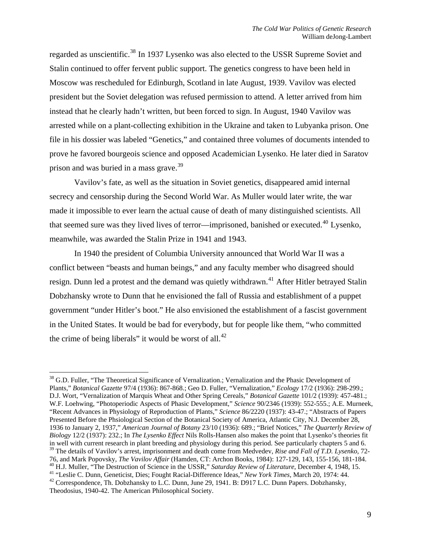regarded as unscientific.<sup>[38](#page-8-0)</sup> In 1937 Lysenko was also elected to the USSR Supreme Soviet and Stalin continued to offer fervent public support. The genetics congress to have been held in Moscow was rescheduled for Edinburgh, Scotland in late August, 1939. Vavilov was elected president but the Soviet delegation was refused permission to attend. A letter arrived from him instead that he clearly hadn't written, but been forced to sign. In August, 1940 Vavilov was arrested while on a plant-collecting exhibition in the Ukraine and taken to Lubyanka prison. One file in his dossier was labeled "Genetics," and contained three volumes of documents intended to prove he favored bourgeois science and opposed Academician Lysenko. He later died in Saratov prison and was buried in a mass grave. $39$ 

Vavilov's fate, as well as the situation in Soviet genetics, disappeared amid internal secrecy and censorship during the Second World War. As Muller would later write, the war made it impossible to ever learn the actual cause of death of many distinguished scientists. All that seemed sure was they lived lives of terror—imprisoned, banished or executed.<sup>[40](#page-8-2)</sup> Lysenko, meanwhile, was awarded the Stalin Prize in 1941 and 1943.

In 1940 the president of Columbia University announced that World War II was a conflict between "beasts and human beings," and any faculty member who disagreed should resign. Dunn led a protest and the demand was quietly withdrawn.<sup>[41](#page-8-3)</sup> After Hitler betrayed Stalin Dobzhansky wrote to Dunn that he envisioned the fall of Russia and establishment of a puppet government "under Hitler's boot." He also envisioned the establishment of a fascist government in the United States. It would be bad for everybody, but for people like them, "who committed the crime of being liberals" it would be worst of all. $^{42}$  $^{42}$  $^{42}$ 

<span id="page-8-0"></span> $\overline{a}$ <sup>38</sup> G.D. Fuller, "The Theoretical Significance of Vernalization.; Vernalization and the Phasic Development of Plants," *Botanical Gazette* 97/4 (1936): 867-868.; Geo D. Fuller, "Vernalization," *Ecology* 17/2 (1936): 298-299.; D.J. Wort, "Vernalization of Marquis Wheat and Other Spring Cereals," *Botanical Gazette* 101/2 (1939): 457-481.; W.F. Loehwing, "Photoperiodic Aspects of Phasic Development," *Science* 90/2346 (1939): 552-555.; A.E. Murneek, "Recent Advances in Physiology of Reproduction of Plants," *Science* 86/2220 (1937): 43-47.; "Abstracts of Papers Presented Before the Phsiological Section of the Botanical Society of America, Atlantic City, N.J. December 28, 1936 to January 2, 1937," *American Journal of Botany* 23/10 (1936): 689.; "Brief Notices," *The Quarterly Review of Biology* 12/2 (1937): 232.; In *The Lysenko Effect* Nils Rolls-Hansen also makes the point that Lysenko's theories fit in well with current research in plant breeding and physiology during this period. See particularly chapters 5 and 6. 39 The details of Vavilov's arrest, imprisonment and death come from Medvedev, *Rise and Fall of T.D. Lysenko*, 72- 76, and Mark Popovsky, *The Vavilov Affair* (Hamden, CT: Archon Books, 1984): 127-129, 143, 155-156, 181-184.<br><sup>40</sup> H.J. Muller, "The Destruction of Science in the USSR," *Saturday Review of Literature*, December 4, 1948, 1

<span id="page-8-4"></span><span id="page-8-3"></span><span id="page-8-2"></span><span id="page-8-1"></span>Theodosius, 1940-42. The American Philosophical Society.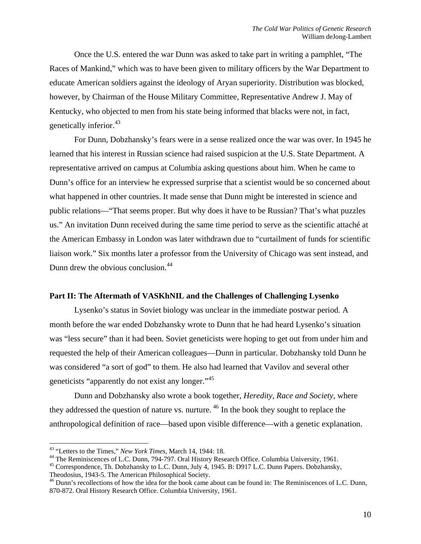Once the U.S. entered the war Dunn was asked to take part in writing a pamphlet, "The Races of Mankind," which was to have been given to military officers by the War Department to educate American soldiers against the ideology of Aryan superiority. Distribution was blocked, however, by Chairman of the House Military Committee, Representative Andrew J. May of Kentucky, who objected to men from his state being informed that blacks were not, in fact, genetically inferior.<sup>[43](#page-9-0)</sup>

For Dunn, Dobzhansky's fears were in a sense realized once the war was over. In 1945 he learned that his interest in Russian science had raised suspicion at the U.S. State Department. A representative arrived on campus at Columbia asking questions about him. When he came to Dunn's office for an interview he expressed surprise that a scientist would be so concerned about what happened in other countries. It made sense that Dunn might be interested in science and public relations—"That seems proper. But why does it have to be Russian? That's what puzzles us." An invitation Dunn received during the same time period to serve as the scientific attaché at the American Embassy in London was later withdrawn due to "curtailment of funds for scientific liaison work." Six months later a professor from the University of Chicago was sent instead, and Dunn drew the obvious conclusion.<sup>[44](#page-9-1)</sup>

### **Part II: The Aftermath of VASKhNIL and the Challenges of Challenging Lysenko**

Lysenko's status in Soviet biology was unclear in the immediate postwar period. A month before the war ended Dobzhansky wrote to Dunn that he had heard Lysenko's situation was "less secure" than it had been. Soviet geneticists were hoping to get out from under him and requested the help of their American colleagues—Dunn in particular. Dobzhansky told Dunn he was considered "a sort of god" to them. He also had learned that Vavilov and several other geneticists "apparently do not exist any longer."<sup>[45](#page-9-2)</sup>

Dunn and Dobzhansky also wrote a book together, *Heredity, Race and Society*, where they addressed the question of nature vs. nurture. <sup>[46](#page-9-3)</sup> In the book they sought to replace the anthropological definition of race—based upon visible difference—with a genetic explanation.

<span id="page-9-1"></span><span id="page-9-0"></span><sup>&</sup>lt;sup>43</sup> "Letters to the Times," *New York Times*, March 14, 1944: 18.<br><sup>44</sup> The Reminiscences of L.C. Dunn, 794-797. Oral History Research Office. Columbia University, 1961.<br><sup>45</sup> Correspondence, Th. Dobzhansky to L.C. Dunn, J

<span id="page-9-2"></span>Theodosius, 1943-5. The American Philosophical Society.

<span id="page-9-3"></span><sup>&</sup>lt;sup>46</sup> Dunn's recollections of how the idea for the book came about can be found in: The Reminiscences of L.C. Dunn, 870-872. Oral History Research Office. Columbia University, 1961.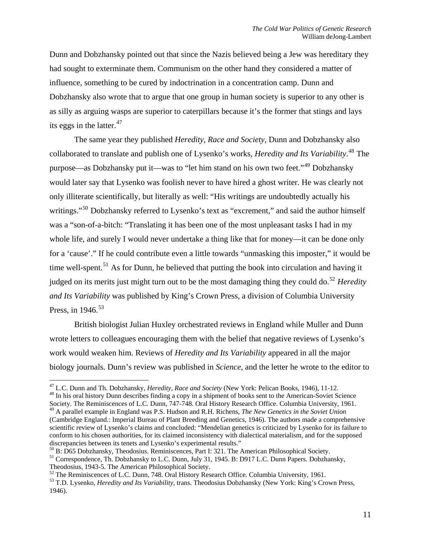Dunn and Dobzhansky pointed out that since the Nazis believed being a Jew was hereditary they had sought to exterminate them. Communism on the other hand they considered a matter of influence, something to be cured by indoctrination in a concentration camp. Dunn and Dobzhansky also wrote that to argue that one group in human society is superior to any other is as silly as arguing wasps are superior to caterpillars because it's the former that stings and lays its eggs in the latter.<sup>[47](#page-10-0)</sup>

The same year they published *Heredity, Race and Society*, Dunn and Dobzhansky also collaborated to translate and publish one of Lysenko's works, *Heredity and Its Variability*. [48](#page-10-1) The purpose—as Dobzhansky put it—was to "let him stand on his own two feet."[49](#page-10-2) Dobzhansky would later say that Lysenko was foolish never to have hired a ghost writer. He was clearly not only illiterate scientifically, but literally as well: "His writings are undoubtedly actually his writings."<sup>[50](#page-10-3)</sup> Dobzhansky referred to Lysenko's text as "excrement," and said the author himself was a "son-of-a-bitch: "Translating it has been one of the most unpleasant tasks I had in my whole life, and surely I would never undertake a thing like that for money—it can be done only for a 'cause'." If he could contribute even a little towards "unmasking this imposter," it would be time well-spent.<sup>[51](#page-10-4)</sup> As for Dunn, he believed that putting the book into circulation and having it judged on its merits just might turn out to be the most damaging thing they could do.<sup>[52](#page-10-5)</sup> *Heredity and Its Variability* was published by King's Crown Press, a division of Columbia University Press, in  $1946$ <sup>[53](#page-10-6)</sup>

 British biologist Julian Huxley orchestrated reviews in England while Muller and Dunn wrote letters to colleagues encouraging them with the belief that negative reviews of Lysenko's work would weaken him. Reviews of *Heredity and Its Variability* appeared in all the major biology journals. Dunn's review was published in *Science*, and the letter he wrote to the editor to

<span id="page-10-1"></span><span id="page-10-0"></span><sup>&</sup>lt;sup>47</sup> L.C. Dunn and Th. Dobzhansky, *Heredity, Race and Society* (New York: Pelican Books, 1946), 11-12.<br><sup>48</sup> In his oral history Dunn describes finding a copy in a shipment of books sent to the American-Soviet Science Society. The Reminiscences of L.C. Dunn, 747-748. Oral History Research Office. Columbia University, 1961.

<span id="page-10-2"></span><sup>49</sup> A parallel example in England was P.S. Hudson and R.H. Richens, *The New Genetics in the Soviet Union* (Cambridge England.: Imperial Bureau of Plant Breeding and Genetics, 1946). The authors made a comprehensive scientific review of Lysenko's claims and concluded: "Mendelian genetics is criticized by Lysenko for its failure to conform to his chosen authorities, for its claimed inconsistency with dialectical materialism, and for the supposed discrepancies between its tenets and Lysenko's experimental results."

<span id="page-10-3"></span><sup>50</sup> B: D65 Dobzhansky, Theodosius. Reminiscences, Part I: 321. The American Philosophical Society.

<span id="page-10-4"></span><sup>&</sup>lt;sup>51</sup> Correspondence, Th. Dobzhansky to L.C. Dunn, July 31, 1945. B: D917 L.C. Dunn Papers. Dobzhansky, Theodosius, 1943-5. The American Philosophical Society.<br><sup>52</sup> The Reminiscences of L.C. Dunn, 748. Oral History Research Office. Columbia University, 1961.

<span id="page-10-5"></span>

<span id="page-10-6"></span><sup>&</sup>lt;sup>53</sup> T.D. Lysenko, *Heredity and Its Variability*, trans. Theodosius Dobzhansky (New York: King's Crown Press, 1946).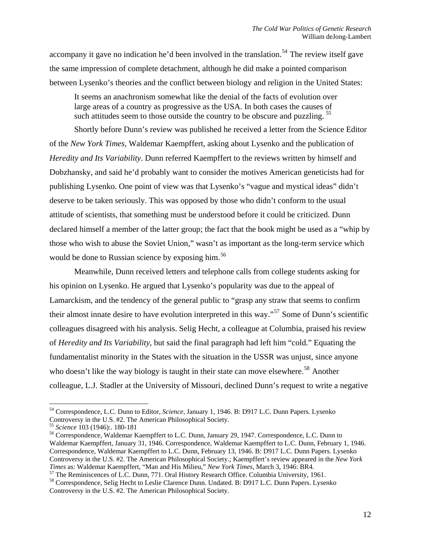accompany it gave no indication he'd been involved in the translation.<sup>[54](#page-11-0)</sup> The review itself gave the same impression of complete detachment, although he did make a pointed comparison between Lysenko's theories and the conflict between biology and religion in the United States:

It seems an anachronism somewhat like the denial of the facts of evolution over large areas of a country as progressive as the USA. In both cases the causes of such attitudes seem to those outside the country to be obscure and puzzling.<sup>[55](#page-11-1)</sup>

Shortly before Dunn's review was published he received a letter from the Science Editor of the *New York Times,* Waldemar Kaempffert, asking about Lysenko and the publication of *Heredity and Its Variability*. Dunn referred Kaempffert to the reviews written by himself and Dobzhansky, and said he'd probably want to consider the motives American geneticists had for publishing Lysenko. One point of view was that Lysenko's "vague and mystical ideas" didn't deserve to be taken seriously. This was opposed by those who didn't conform to the usual attitude of scientists, that something must be understood before it could be criticized. Dunn declared himself a member of the latter group; the fact that the book might be used as a "whip by those who wish to abuse the Soviet Union," wasn't as important as the long-term service which would be done to Russian science by exposing him.<sup>[56](#page-11-2)</sup>

Meanwhile, Dunn received letters and telephone calls from college students asking for his opinion on Lysenko. He argued that Lysenko's popularity was due to the appeal of Lamarckism, and the tendency of the general public to "grasp any straw that seems to confirm their almost innate desire to have evolution interpreted in this way."[57](#page-11-3) Some of Dunn's scientific colleagues disagreed with his analysis. Selig Hecht, a colleague at Columbia, praised his review of *Heredity and Its Variability*, but said the final paragraph had left him "cold." Equating the fundamentalist minority in the States with the situation in the USSR was unjust, since anyone who doesn't like the way biology is taught in their state can move elsewhere.<sup>[58](#page-11-4)</sup> Another colleague, L.J. Stadler at the University of Missouri, declined Dunn's request to write a negative

<span id="page-11-3"></span>

<span id="page-11-0"></span><sup>&</sup>lt;sup>54</sup> Correspondence, L.C. Dunn to Editor, *Science*, January 1, 1946. B: D917 L.C. Dunn Papers. Lysenko Controversy in the U.S. #2. The American Philosophical Society.

<span id="page-11-2"></span><span id="page-11-1"></span><sup>&</sup>lt;sup>55</sup> Science 103 (1946):. 180-181<br><sup>56</sup> Correspondence, Waldemar Kaempffert to L.C. Dunn, January 29, 1947. Correspondence, L.C. Dunn to Waldemar Kaempffert, January 31, 1946. Correspondence, Waldemar Kaempffert to L.C. Dunn, February 1, 1946. Correspondence, Waldemar Kaempffert to L.C. Dunn, February 13, 1946. B: D917 L.C. Dunn Papers. Lysenko Controversy in the U.S. #2. The American Philosophical Society.; Kaempffert's review appeared in the *New York Times* as: Waldemar Kaempffert, "Man and His Milieu," *New York Times*, March 3, 1946: BR4.<br><sup>57</sup> The Reminiscences of L.C. Dunn, 771. Oral History Research Office. Columbia University, 1961.<br><sup>58</sup> Correspondence, Selig Hec

<span id="page-11-4"></span>Controversy in the U.S. #2. The American Philosophical Society.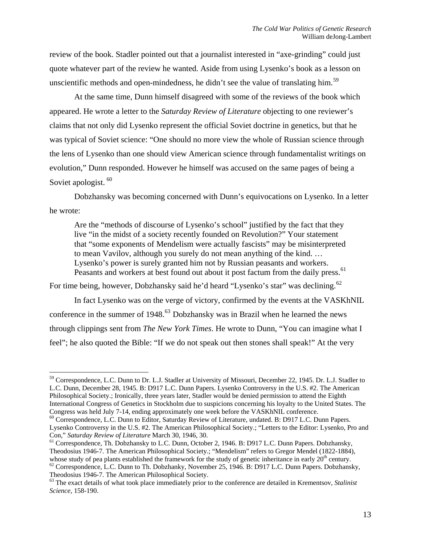review of the book. Stadler pointed out that a journalist interested in "axe-grinding" could just quote whatever part of the review he wanted. Aside from using Lysenko's book as a lesson on unscientific methods and open-mindedness, he didn't see the value of translating him.<sup>[59](#page-12-0)</sup>

 At the same time, Dunn himself disagreed with some of the reviews of the book which appeared. He wrote a letter to the *Saturday Review of Literature* objecting to one reviewer's claims that not only did Lysenko represent the official Soviet doctrine in genetics, but that he was typical of Soviet science: "One should no more view the whole of Russian science through the lens of Lysenko than one should view American science through fundamentalist writings on evolution," Dunn responded. However he himself was accused on the same pages of being a Soviet apologist.<sup>[60](#page-12-1)</sup>

Dobzhansky was becoming concerned with Dunn's equivocations on Lysenko. In a letter he wrote:

Are the "methods of discourse of Lysenko's school" justified by the fact that they live "in the midst of a society recently founded on Revolution?" Your statement that "some exponents of Mendelism were actually fascists" may be misinterpreted to mean Vavilov, although you surely do not mean anything of the kind. … Lysenko's power is surely granted him not by Russian peasants and workers. Peasants and workers at best found out about it post factum from the daily press.<sup>[61](#page-12-2)</sup>

For time being, however, Dobzhansky said he'd heard "Lysenko's star" was declining.<sup>[62](#page-12-3)</sup>

 $\overline{a}$ 

 In fact Lysenko was on the verge of victory, confirmed by the events at the VASKhNIL conference in the summer of 1948.<sup>[63](#page-12-4)</sup> Dobzhansky was in Brazil when he learned the news through clippings sent from *The New York Times*. He wrote to Dunn, "You can imagine what I feel"; he also quoted the Bible: "If we do not speak out then stones shall speak!" At the very

<span id="page-12-0"></span><sup>&</sup>lt;sup>59</sup> Correspondence, L.C. Dunn to Dr. L.J. Stadler at University of Missouri, December 22, 1945. Dr. L.J. Stadler to L.C. Dunn, December 28, 1945. B: D917 L.C. Dunn Papers. Lysenko Controversy in the U.S. #2. The American Philosophical Society.; Ironically, three years later, Stadler would be denied permission to attend the Eighth International Congress of Genetics in Stockholm due to suspicions concerning his loyalty to the United States. The Congress was held July 7-14, ending approximately one week before the VASKhNIL conference.

<span id="page-12-1"></span><sup>60</sup> Correspondence, L.C. Dunn to Editor, Saturday Review of Literature, undated. B: D917 L.C. Dunn Papers. Lysenko Controversy in the U.S. #2. The American Philosophical Society.; "Letters to the Editor: Lysenko, Pro and Con," *Saturday Review of Literature* March 30, 1946, 30.<br><sup>61</sup> Correspondence, Th. Dobzhansky to L.C. Dunn, October 2, 1946. B: D917 L.C. Dunn Papers. Dobzhansky,

<span id="page-12-2"></span>Theodosius 1946-7. The American Philosophical Society.; "Mendelism" refers to Gregor Mendel (1822-1884),

<span id="page-12-3"></span>whose study of pea plants established the framework for the study of genetic inheritance in early  $20^{\text{th}}$  century.<br><sup>62</sup> Correspondence, L.C. Dunn to Th. Dobzhanky, November 25, 1946. B: D917 L.C. Dunn Papers. Dobzhansk

<span id="page-12-4"></span><sup>&</sup>lt;sup>63</sup> The exact details of what took place immediately prior to the conference are detailed in Krementsov, *Stalinist Science*, 158-190.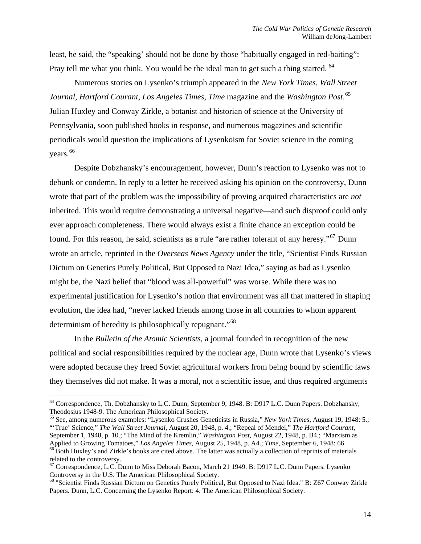least, he said, the "speaking' should not be done by those "habitually engaged in red-baiting": Pray tell me what you think. You would be the ideal man to get such a thing started. <sup>[64](#page-13-0)</sup>

Numerous stories on Lysenko's triumph appeared in the *New York Times*, *Wall Street Journal*, *Hartford Courant*, *Los Angeles Times*, *Time* magazine and the *Washington Post*. [65](#page-13-1) Julian Huxley and Conway Zirkle, a botanist and historian of science at the University of Pennsylvania, soon published books in response, and numerous magazines and scientific periodicals would question the implications of Lysenkoism for Soviet science in the coming years.<sup>[66](#page-13-2)</sup>

 Despite Dobzhansky's encouragement, however, Dunn's reaction to Lysenko was not to debunk or condemn. In reply to a letter he received asking his opinion on the controversy, Dunn wrote that part of the problem was the impossibility of proving acquired characteristics are *not* inherited. This would require demonstrating a universal negative—and such disproof could only ever approach completeness. There would always exist a finite chance an exception could be found. For this reason, he said, scientists as a rule "are rather tolerant of any heresy."<sup>[67](#page-13-3)</sup> Dunn wrote an article, reprinted in the *Overseas News Agency* under the title, "Scientist Finds Russian Dictum on Genetics Purely Political, But Opposed to Nazi Idea," saying as bad as Lysenko might be, the Nazi belief that "blood was all-powerful" was worse. While there was no experimental justification for Lysenko's notion that environment was all that mattered in shaping evolution, the idea had, "never lacked friends among those in all countries to whom apparent determinism of heredity is philosophically repugnant."<sup>[68](#page-13-4)</sup>

 In the *Bulletin of the Atomic Scientists*, a journal founded in recognition of the new political and social responsibilities required by the nuclear age, Dunn wrote that Lysenko's views were adopted because they freed Soviet agricultural workers from being bound by scientific laws they themselves did not make. It was a moral, not a scientific issue, and thus required arguments

<span id="page-13-0"></span><sup>&</sup>lt;sup>64</sup> Correspondence, Th. Dobzhansky to L.C. Dunn, September 9, 1948. B: D917 L.C. Dunn Papers. Dobzhansky, Theodosius 1948-9. The American Philosophical Society.<br><sup>65</sup> See, among numerous examples: "Lysenko Crushes Geneticists in Russia," *New York Times*, August 19, 1948: 5.;

<span id="page-13-1"></span><sup>&</sup>quot;'True' Science," *The Wall Street Journal*, August 20, 1948, p. 4.; "Repeal of Mendel," *The Hartford Courant*, September 1, 1948, p. 10.; "The Mind of the Kremlin," *Washington Post*, August 22, 1948, p. B4.; "Marxism as

<span id="page-13-2"></span>Applied to Growing Tomatoes," Los Angeles Times, August 25, 1948, p. A4.; Time, September 6, 1948: 66.<br><sup>66</sup> Both Huxley's and Zirkle's books are cited above. The latter was actually a collection of reprints of materials related to the controversy.

<span id="page-13-3"></span> $67$  Correspondence, L.C. Dunn to Miss Deborah Bacon, March 21 1949. B: D917 L.C. Dunn Papers. Lysenko Controversy in the U.S. The American Philosophical Society.<br><sup>68</sup> "Scientist Finds Russian Dictum on Genetics Purely Political, But Opposed to Nazi Idea." B: Z67 Conway Zirkle

<span id="page-13-4"></span>Papers. Dunn, L.C. Concerning the Lysenko Report: 4. The American Philosophical Society.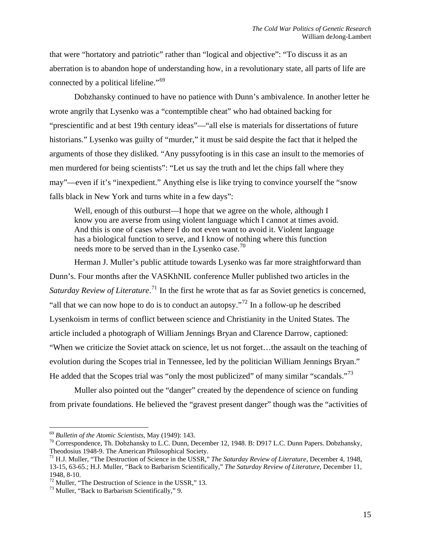that were "hortatory and patriotic" rather than "logical and objective": "To discuss it as an aberration is to abandon hope of understanding how, in a revolutionary state, all parts of life are connected by a political lifeline."<sup>[69](#page-14-0)</sup>

 Dobzhansky continued to have no patience with Dunn's ambivalence. In another letter he wrote angrily that Lysenko was a "contemptible cheat" who had obtained backing for "prescientific and at best 19th century ideas"—"all else is materials for dissertations of future historians." Lysenko was guilty of "murder," it must be said despite the fact that it helped the arguments of those they disliked. "Any pussyfooting is in this case an insult to the memories of men murdered for being scientists": "Let us say the truth and let the chips fall where they may"—even if it's "inexpedient." Anything else is like trying to convince yourself the "snow falls black in New York and turns white in a few days":

Well, enough of this outburst—I hope that we agree on the whole, although I know you are averse from using violent language which I cannot at times avoid. And this is one of cases where I do not even want to avoid it. Violent language has a biological function to serve, and I know of nothing where this function needs more to be served than in the Lysenko case.<sup>[70](#page-14-1)</sup>

Herman J. Muller's public attitude towards Lysenko was far more straightforward than Dunn's. Four months after the VASKhNIL conference Muller published two articles in the Saturday Review of Literature.<sup>[71](#page-14-2)</sup> In the first he wrote that as far as Soviet genetics is concerned, "all that we can now hope to do is to conduct an autopsy."<sup>[72](#page-14-3)</sup> In a follow-up he described Lysenkoism in terms of conflict between science and Christianity in the United States. The article included a photograph of William Jennings Bryan and Clarence Darrow, captioned: "When we criticize the Soviet attack on science, let us not forget…the assault on the teaching of evolution during the Scopes trial in Tennessee, led by the politician William Jennings Bryan." He added that the Scopes trial was "only the most publicized" of many similar "scandals."<sup>[73](#page-14-4)</sup>

 Muller also pointed out the "danger" created by the dependence of science on funding from private foundations. He believed the "gravest present danger" though was the "activities of

<span id="page-14-1"></span><span id="page-14-0"></span><sup>&</sup>lt;sup>69</sup> *Bulletin of the Atomic Scientists*, May (1949): 143.<br><sup>70</sup> Correspondence, Th. Dobzhansky to L.C. Dunn, December 12, 1948. B: D917 L.C. Dunn Papers. Dobzhansky, Theodosius 1948-9. The American Philosophical Society.

<span id="page-14-2"></span><sup>&</sup>lt;sup>71</sup> H.J. Muller, "The Destruction of Science in the USSR," *The Saturday Review of Literature*, December 4, 1948, 13-15, 63-65.; H.J. Muller, "Back to Barbarism Scientifically," *The Saturday Review of Literature*, December 11, 1948, 8-10.

<span id="page-14-3"></span> $^{72}$  Muller, "The Destruction of Science in the USSR," 13.

<span id="page-14-4"></span><sup>73</sup> Muller, "Back to Barbarism Scientifically," 9.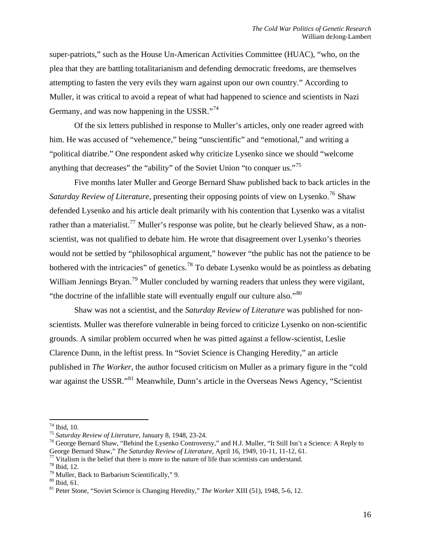super-patriots," such as the House Un-American Activities Committee (HUAC), "who, on the plea that they are battling totalitarianism and defending democratic freedoms, are themselves attempting to fasten the very evils they warn against upon our own country." According to Muller, it was critical to avoid a repeat of what had happened to science and scientists in Nazi Germany, and was now happening in the USSR."<sup>[74](#page-15-0)</sup>

Of the six letters published in response to Muller's articles, only one reader agreed with him. He was accused of "vehemence," being "unscientific" and "emotional," and writing a "political diatribe." One respondent asked why criticize Lysenko since we should "welcome anything that decreases" the "ability" of the Soviet Union "to conquer us."<sup>[75](#page-15-1)</sup>

Five months later Muller and George Bernard Shaw published back to back articles in the *Saturday Review of Literature*, presenting their opposing points of view on Lysenko.<sup>[76](#page-15-2)</sup> Shaw defended Lysenko and his article dealt primarily with his contention that Lysenko was a vitalist rather than a materialist.<sup>[77](#page-15-3)</sup> Muller's response was polite, but he clearly believed Shaw, as a nonscientist, was not qualified to debate him. He wrote that disagreement over Lysenko's theories would not be settled by "philosophical argument," however "the public has not the patience to be bothered with the intricacies" of genetics.<sup>[78](#page-15-4)</sup> To debate Lysenko would be as pointless as debating William Jennings Bryan.<sup>[79](#page-15-5)</sup> Muller concluded by warning readers that unless they were vigilant, "the doctrine of the infallible state will eventually engulf our culture also."[80](#page-15-6)

Shaw was not a scientist, and the *Saturday Review of Literature* was published for nonscientists. Muller was therefore vulnerable in being forced to criticize Lysenko on non-scientific grounds. A similar problem occurred when he was pitted against a fellow-scientist, Leslie Clarence Dunn, in the leftist press. In "Soviet Science is Changing Heredity," an article published in *The Worker*, the author focused criticism on Muller as a primary figure in the "cold war against the USSR."<sup>[81](#page-15-7)</sup> Meanwhile, Dunn's article in the Overseas News Agency, "Scientist"

 $74$  Ibid, 10.

<span id="page-15-2"></span>

<span id="page-15-1"></span><span id="page-15-0"></span><sup>&</sup>lt;sup>75</sup> Saturday Review of Literature, January 8, 1948, 23-24.<br><sup>76</sup> George Bernard Shaw, "Behind the Lysenko Controversy," and H.J. Muller, "It Still Isn't a Science: A Reply to<br>George Bernard Shaw," *The Saturday Review of L* 

<span id="page-15-3"></span><sup>&</sup>lt;sup>77</sup> Vitalism is the belief that there is more to the nature of life than scientists can understand.

<span id="page-15-4"></span> $78$  Ibid, 12.

<span id="page-15-5"></span><sup>79</sup> Muller, Back to Barbarism Scientifically," 9.

<span id="page-15-6"></span><sup>80</sup> Ibid, 61.

<span id="page-15-7"></span><sup>81</sup> Peter Stone, "Soviet Science is Changing Heredity," *The Worker* XIII (51), 1948, 5-6, 12.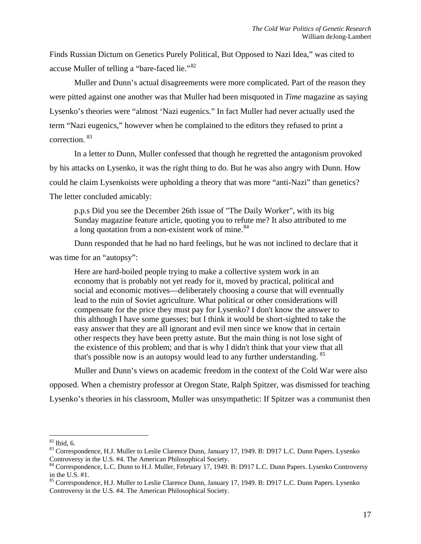Finds Russian Dictum on Genetics Purely Political, But Opposed to Nazi Idea," was cited to accuse Muller of telling a "bare-faced lie."<sup>[82](#page-16-0)</sup>

Muller and Dunn's actual disagreements were more complicated. Part of the reason they were pitted against one another was that Muller had been misquoted in *Time* magazine as saying Lysenko's theories were "almost 'Nazi eugenics." In fact Muller had never actually used the term "Nazi eugenics," however when he complained to the editors they refused to print a correction. [83](#page-16-1)

In a letter to Dunn, Muller confessed that though he regretted the antagonism provoked by his attacks on Lysenko, it was the right thing to do. But he was also angry with Dunn. How could he claim Lysenkoists were upholding a theory that was more "anti-Nazi" than genetics? The letter concluded amicably:

p.p.s Did you see the December 26th issue of "The Daily Worker", with its big Sunday magazine feature article, quoting you to refute me? It also attributed to me a long quotation from a non-existent work of mine.<sup>[84](#page-16-2)</sup>

 Dunn responded that he had no hard feelings, but he was not inclined to declare that it was time for an "autopsy":

Here are hard-boiled people trying to make a collective system work in an economy that is probably not yet ready for it, moved by practical, political and social and economic motives—deliberately choosing a course that will eventually lead to the ruin of Soviet agriculture. What political or other considerations will compensate for the price they must pay for Lysenko? I don't know the answer to this although I have some guesses; but I think it would be short-sighted to take the easy answer that they are all ignorant and evil men since we know that in certain other respects they have been pretty astute. But the main thing is not lose sight of the existence of this problem; and that is why I didn't think that your view that all that's possible now is an autopsy would lead to any further understanding. <sup>[85](#page-16-3)</sup>

 Muller and Dunn's views on academic freedom in the context of the Cold War were also opposed. When a chemistry professor at Oregon State, Ralph Spitzer, was dismissed for teaching Lysenko's theories in his classroom, Muller was unsympathetic: If Spitzer was a communist then

<sup>&</sup>lt;u>.</u>  $82$  Ibid, 6.

<span id="page-16-1"></span><span id="page-16-0"></span><sup>&</sup>lt;sup>83</sup> Correspondence, H.J. Muller to Leslie Clarence Dunn, January 17, 1949. B: D917 L.C. Dunn Papers. Lysenko Controversy in the U.S. #4. The American Philosophical Society.<br><sup>84</sup> Correspondence, L.C. Dunn to H.J. Muller, February 17, 1949. B: D917 L.C. Dunn Papers. Lysenko Controversy

<span id="page-16-2"></span>in the U.S. #1.

<span id="page-16-3"></span><sup>&</sup>lt;sup>85</sup> Correspondence, H.J. Muller to Leslie Clarence Dunn, January 17, 1949. B: D917 L.C. Dunn Papers. Lysenko Controversy in the U.S. #4. The American Philosophical Society.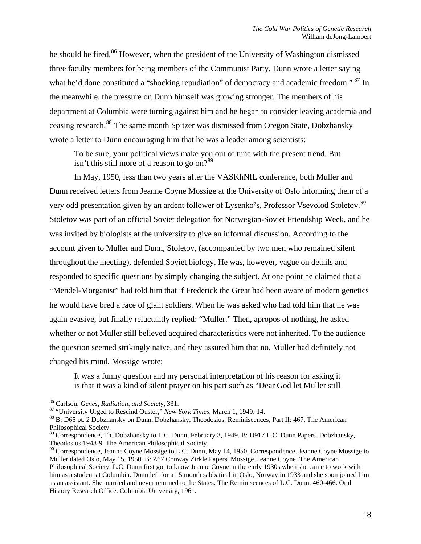he should be fired.<sup>[86](#page-17-0)</sup> However, when the president of the University of Washington dismissed three faculty members for being members of the Communist Party, Dunn wrote a letter saying what he'd done constituted a "shocking repudiation" of democracy and academic freedom." <sup>[87](#page-17-1)</sup> In the meanwhile, the pressure on Dunn himself was growing stronger. The members of his department at Columbia were turning against him and he began to consider leaving academia and ceasing research.[88](#page-17-2) The same month Spitzer was dismissed from Oregon State, Dobzhansky wrote a letter to Dunn encouraging him that he was a leader among scientists:

To be sure, your political views make you out of tune with the present trend. But isn't this still more of a reason to go on? $89$ 

 In May, 1950, less than two years after the VASKhNIL conference, both Muller and Dunn received letters from Jeanne Coyne Mossige at the University of Oslo informing them of a very odd presentation given by an ardent follower of Lysenko's, Professor Vsevolod Stoletov.<sup>[90](#page-17-4)</sup> Stoletov was part of an official Soviet delegation for Norwegian-Soviet Friendship Week, and he was invited by biologists at the university to give an informal discussion. According to the account given to Muller and Dunn, Stoletov, (accompanied by two men who remained silent throughout the meeting), defended Soviet biology. He was, however, vague on details and responded to specific questions by simply changing the subject. At one point he claimed that a "Mendel-Morganist" had told him that if Frederick the Great had been aware of modern genetics he would have bred a race of giant soldiers. When he was asked who had told him that he was again evasive, but finally reluctantly replied: "Muller." Then, apropos of nothing, he asked whether or not Muller still believed acquired characteristics were not inherited. To the audience the question seemed strikingly naïve, and they assured him that no, Muller had definitely not changed his mind. Mossige wrote:

It was a funny question and my personal interpretation of his reason for asking it is that it was a kind of silent prayer on his part such as "Dear God let Muller still

<span id="page-17-2"></span>

<span id="page-17-1"></span><span id="page-17-0"></span><sup>&</sup>lt;sup>86</sup> Carlson, *Genes, Radiation, and Society*, 331.<br><sup>87</sup> "University Urged to Rescind Ouster," *New York Times*, March 1, 1949: 14.<br><sup>88</sup> B: D65 pt. 2 Dobzhansky on Dunn. Dobzhansky, Theodosius. Reminiscences, Part II: 467. Philosophical Society.

<span id="page-17-3"></span><sup>89</sup> Correspondence, Th. Dobzhansky to L.C. Dunn, February 3, 1949. B: D917 L.C. Dunn Papers. Dobzhansky, Theodosius 1948-9. The American Philosophical Society.

<span id="page-17-4"></span> $90$  Correspondence, Jeanne Coyne Mossige to L.C. Dunn, May 14, 1950. Correspondence, Jeanne Coyne Mossige to Muller dated Oslo, May 15, 1950. B: Z67 Conway Zirkle Papers. Mossige, Jeanne Coyne. The American Philosophical Society. L.C. Dunn first got to know Jeanne Coyne in the early 1930s when she came to work with him as a student at Columbia. Dunn left for a 15 month sabbatical in Oslo, Norway in 1933 and she soon joined him as an assistant. She married and never returned to the States. The Reminiscences of L.C. Dunn, 460-466. Oral History Research Office. Columbia University, 1961.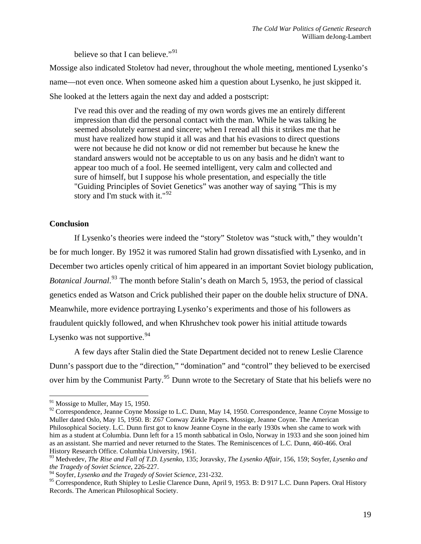believe so that I can believe."<sup>[91](#page-18-0)</sup>

Mossige also indicated Stoletov had never, throughout the whole meeting, mentioned Lysenko's name—not even once. When someone asked him a question about Lysenko, he just skipped it. She looked at the letters again the next day and added a postscript:

I've read this over and the reading of my own words gives me an entirely different impression than did the personal contact with the man. While he was talking he seemed absolutely earnest and sincere; when I reread all this it strikes me that he must have realized how stupid it all was and that his evasions to direct questions were not because he did not know or did not remember but because he knew the standard answers would not be acceptable to us on any basis and he didn't want to appear too much of a fool. He seemed intelligent, very calm and collected and sure of himself, but I suppose his whole presentation, and especially the title "Guiding Principles of Soviet Genetics" was another way of saying "This is my story and I'm stuck with it."<sup>[92](#page-18-1)</sup>

# **Conclusion**

 If Lysenko's theories were indeed the "story" Stoletov was "stuck with," they wouldn't be for much longer. By 1952 it was rumored Stalin had grown dissatisfied with Lysenko, and in December two articles openly critical of him appeared in an important Soviet biology publication, Botanical Journal.<sup>[93](#page-18-2)</sup> The month before Stalin's death on March 5, 1953, the period of classical genetics ended as Watson and Crick published their paper on the double helix structure of DNA. Meanwhile, more evidence portraying Lysenko's experiments and those of his followers as fraudulent quickly followed, and when Khrushchev took power his initial attitude towards Lysenko was not supportive.  $94$ 

A few days after Stalin died the State Department decided not to renew Leslie Clarence Dunn's passport due to the "direction," "domination" and "control" they believed to be exercised over him by the Communist Party.<sup>[95](#page-18-4)</sup> Dunn wrote to the Secretary of State that his beliefs were no

<span id="page-18-0"></span> $\overline{a}$  $91$  Mossige to Muller, May 15, 1950.

<span id="page-18-1"></span><sup>&</sup>lt;sup>92</sup> Correspondence, Jeanne Coyne Mossige to L.C. Dunn, May 14, 1950. Correspondence, Jeanne Coyne Mossige to Muller dated Oslo, May 15, 1950. B: Z67 Conway Zirkle Papers. Mossige, Jeanne Coyne. The American Philosophical Society. L.C. Dunn first got to know Jeanne Coyne in the early 1930s when she came to work with him as a student at Columbia. Dunn left for a 15 month sabbatical in Oslo, Norway in 1933 and she soon joined him as an assistant. She married and never returned to the States. The Reminiscences of L.C. Dunn, 460-466. Oral History Research Office. Columbia University, 1961.

<span id="page-18-2"></span><sup>93</sup> Medvedev, *The Rise and Fall of T.D. Lysenko*, 135; Joravsky, *The Lysenko Affair*, 156, 159; Soyfer, *Lysenko and the Tragedy of Soviet Science*, 226-227.

<span id="page-18-3"></span><sup>94</sup> Soyfer, *Lysenko and the Tragedy of Soviet Science*, 231-232.

<span id="page-18-4"></span><sup>&</sup>lt;sup>95</sup> Correspondence, Ruth Shipley to Leslie Clarence Dunn, April 9, 1953. B: D 917 L.C. Dunn Papers. Oral History Records. The American Philosophical Society.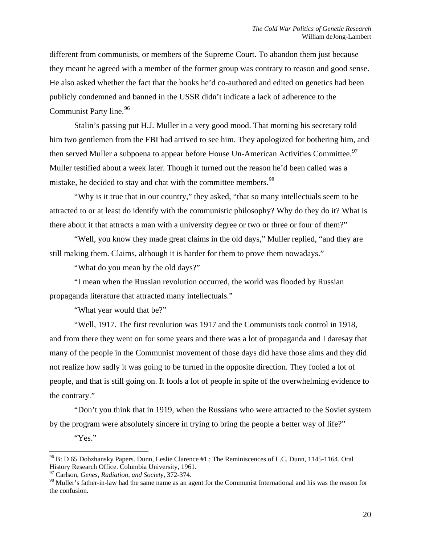different from communists, or members of the Supreme Court. To abandon them just because they meant he agreed with a member of the former group was contrary to reason and good sense. He also asked whether the fact that the books he'd co-authored and edited on genetics had been publicly condemned and banned in the USSR didn't indicate a lack of adherence to the Communist Party line.<sup>[96](#page-19-0)</sup>

Stalin's passing put H.J. Muller in a very good mood. That morning his secretary told him two gentlemen from the FBI had arrived to see him. They apologized for bothering him, and then served Muller a subpoena to appear before House Un-American Activities Committee.<sup>[97](#page-19-1)</sup> Muller testified about a week later. Though it turned out the reason he'd been called was a mistake, he decided to stay and chat with the committee members.<sup>[98](#page-19-2)</sup>

"Why is it true that in our country," they asked, "that so many intellectuals seem to be attracted to or at least do identify with the communistic philosophy? Why do they do it? What is there about it that attracts a man with a university degree or two or three or four of them?"

"Well, you know they made great claims in the old days," Muller replied, "and they are still making them. Claims, although it is harder for them to prove them nowadays."

"What do you mean by the old days?"

 "I mean when the Russian revolution occurred, the world was flooded by Russian propaganda literature that attracted many intellectuals."

"What year would that be?"

 "Well, 1917. The first revolution was 1917 and the Communists took control in 1918, and from there they went on for some years and there was a lot of propaganda and I daresay that many of the people in the Communist movement of those days did have those aims and they did not realize how sadly it was going to be turned in the opposite direction. They fooled a lot of people, and that is still going on. It fools a lot of people in spite of the overwhelming evidence to the contrary."

"Don't you think that in 1919, when the Russians who were attracted to the Soviet system by the program were absolutely sincere in trying to bring the people a better way of life?"

"Yes."

<span id="page-19-0"></span><sup>96</sup> B: D 65 Dobzhansky Papers. Dunn, Leslie Clarence #1.; The Reminiscences of L.C. Dunn, 1145-1164. Oral History Research Office. Columbia University, 1961.

<span id="page-19-1"></span><sup>97</sup> Carlson, *Genes, Radiation, and Society*, 372-374.

<span id="page-19-2"></span><sup>&</sup>lt;sup>98</sup> Muller's father-in-law had the same name as an agent for the Communist International and his was the reason for the confusion.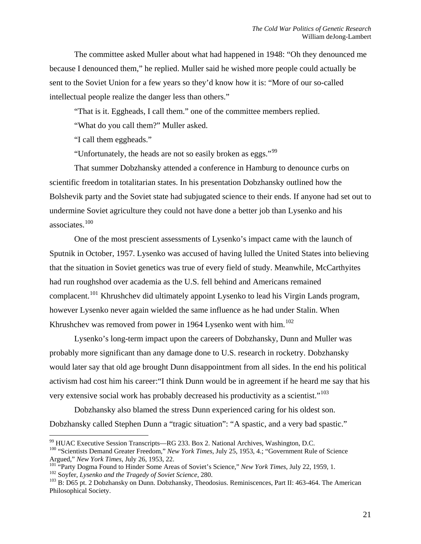The committee asked Muller about what had happened in 1948: "Oh they denounced me because I denounced them," he replied. Muller said he wished more people could actually be sent to the Soviet Union for a few years so they'd know how it is: "More of our so-called intellectual people realize the danger less than others."

"That is it. Eggheads, I call them." one of the committee members replied.

"What do you call them?" Muller asked.

"I call them eggheads."

 $\overline{a}$ 

"Unfortunately, the heads are not so easily broken as eggs."<sup>[99](#page-20-0)</sup>

 That summer Dobzhansky attended a conference in Hamburg to denounce curbs on scientific freedom in totalitarian states. In his presentation Dobzhansky outlined how the Bolshevik party and the Soviet state had subjugated science to their ends. If anyone had set out to undermine Soviet agriculture they could not have done a better job than Lysenko and his associates.[100](#page-20-1)

 One of the most prescient assessments of Lysenko's impact came with the launch of Sputnik in October, 1957. Lysenko was accused of having lulled the United States into believing that the situation in Soviet genetics was true of every field of study. Meanwhile, McCarthyites had run roughshod over academia as the U.S. fell behind and Americans remained complacent.[101](#page-20-2) Khrushchev did ultimately appoint Lysenko to lead his Virgin Lands program, however Lysenko never again wielded the same influence as he had under Stalin. When Khrushchev was removed from power in 1964 Lysenko went with him.<sup>[102](#page-20-3)</sup>

 Lysenko's long-term impact upon the careers of Dobzhansky, Dunn and Muller was probably more significant than any damage done to U.S. research in rocketry. Dobzhansky would later say that old age brought Dunn disappointment from all sides. In the end his political activism had cost him his career:"I think Dunn would be in agreement if he heard me say that his very extensive social work has probably decreased his productivity as a scientist."<sup>[103](#page-20-4)</sup>

 Dobzhansky also blamed the stress Dunn experienced caring for his oldest son. Dobzhansky called Stephen Dunn a "tragic situation": "A spastic, and a very bad spastic."

<span id="page-20-0"></span><sup>&</sup>lt;sup>99</sup> HUAC Executive Session Transcripts—RG 233. Box 2. National Archives, Washington, D.C.

<span id="page-20-1"></span><sup>&</sup>lt;sup>100</sup> "Scientists Demand Greater Freedom," *New York Times*, July 25, 1953, 4.; "Government Rule of Science Argued," *New York Times*, July 26, 1953, 22.

<span id="page-20-2"></span><sup>&</sup>lt;sup>101</sup> "Party Dogma Found to Hinder Some Areas of Soviet's Science," *New York Times*, July 22, 1959, 1.<br><sup>102</sup> Soyfer, *Lysenko and the Tragedy of Soviet Science*, 280.<br><sup>103</sup> B: D65 pt. 2 Dobzhansky on Dunn. Dobzhansky, Th

<span id="page-20-4"></span><span id="page-20-3"></span>Philosophical Society.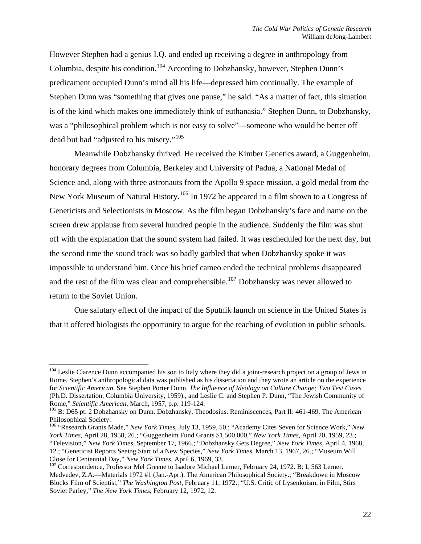However Stephen had a genius I.Q. and ended up receiving a degree in anthropology from Columbia, despite his condition.<sup>[104](#page-21-0)</sup> According to Dobzhansky, however, Stephen Dunn's predicament occupied Dunn's mind all his life—depressed him continually. The example of Stephen Dunn was "something that gives one pause," he said. "As a matter of fact, this situation is of the kind which makes one immediately think of euthanasia." Stephen Dunn, to Dobzhansky, was a "philosophical problem which is not easy to solve"—someone who would be better off dead but had "adjusted to his misery."<sup>[105](#page-21-1)</sup>

Meanwhile Dobzhansky thrived. He received the Kimber Genetics award, a Guggenheim, honorary degrees from Columbia, Berkeley and University of Padua, a National Medal of Science and, along with three astronauts from the Apollo 9 space mission, a gold medal from the New York Museum of Natural History.<sup>[106](#page-21-2)</sup> In 1972 he appeared in a film shown to a Congress of Geneticists and Selectionists in Moscow. As the film began Dobzhansky's face and name on the screen drew applause from several hundred people in the audience. Suddenly the film was shut off with the explanation that the sound system had failed. It was rescheduled for the next day, but the second time the sound track was so badly garbled that when Dobzhansky spoke it was impossible to understand him. Once his brief cameo ended the technical problems disappeared and the rest of the film was clear and comprehensible.<sup>[107](#page-21-3)</sup> Dobzhansky was never allowed to return to the Soviet Union.

 One salutary effect of the impact of the Sputnik launch on science in the United States is that it offered biologists the opportunity to argue for the teaching of evolution in public schools.

<span id="page-21-0"></span><sup>&</sup>lt;sup>104</sup> Leslie Clarence Dunn accompanied his son to Italy where they did a joint-research project on a group of Jews in Rome. Stephen's anthropological data was published as his dissertation and they wrote an article on the experience for *Scientific American*. See Stephen Porter Dunn. *The Influence of Ideology on Culture Change; Two Test Cases*  (Ph.D. Dissertation, Columbia University, 1959)., and Leslie C. and Stephen P. Dunn, "The Jewish Community of Rome," *Scientific American*, March, 1957, p.p. 119-124.<br><sup>105</sup> B: D65 pt. 2 Dobzhansky on Dunn. Dobzhansky, Theodosius. Reminiscences, Part II: 461-469. The American

<span id="page-21-1"></span>Philosophical Society.

<span id="page-21-2"></span><sup>106 &</sup>quot;Research Grants Made," *New York Times*, July 13, 1959, 50.; "Academy Cites Seven for Science Work," *New York Times*, April 28, 1958, 26.; "Guggenheim Fund Grants \$1,500,000," *New York Times*, April 20, 1959, 23.;

<sup>&</sup>quot;Television," *New York Times*, September 17, 1966.; "Dobzhansky Gets Degree," *New York Times*, April 4, 1968, 12.; "Geneticist Reports Seeing Start of a New Species," *New York Times*, March 13, 1967, 26.; "Museum Will

<span id="page-21-3"></span>Close for Centennial Day," *New York Times*, April 6, 1969, 33.<br><sup>107</sup> Correspondence, Professor Mel Greene to Isadore Michael Lerner, February 24, 1972. B: L 563 Lerner. Medvedev, Z.A.—Materials 1972 #1 (Jan.-Apr.). The American Philosophical Society.; "Breakdown in Moscow Blocks Film of Scientist," *The Washington Post*, February 11, 1972.; "U.S. Critic of Lysenkoism, in Film, Stirs Soviet Parley," *The New York Times*, February 12, 1972, 12.